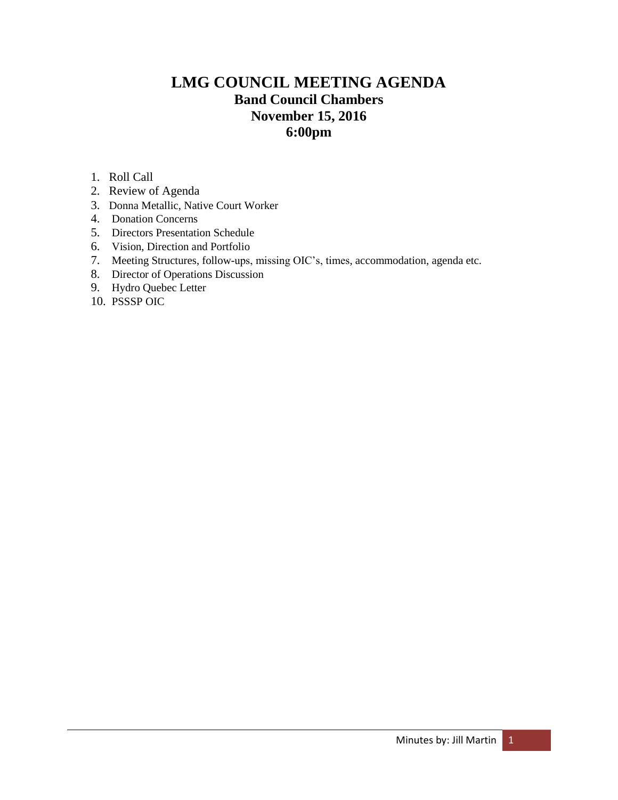# **LMG COUNCIL MEETING AGENDA Band Council Chambers November 15, 2016 6:00pm**

- 1. Roll Call
- 2. Review of Agenda
- 3. Donna Metallic, Native Court Worker
- 4. Donation Concerns
- 5. Directors Presentation Schedule
- 6. Vision, Direction and Portfolio
- 7. Meeting Structures, follow-ups, missing OIC's, times, accommodation, agenda etc.
- 8. Director of Operations Discussion
- 9. Hydro Quebec Letter
- 10. PSSSP OIC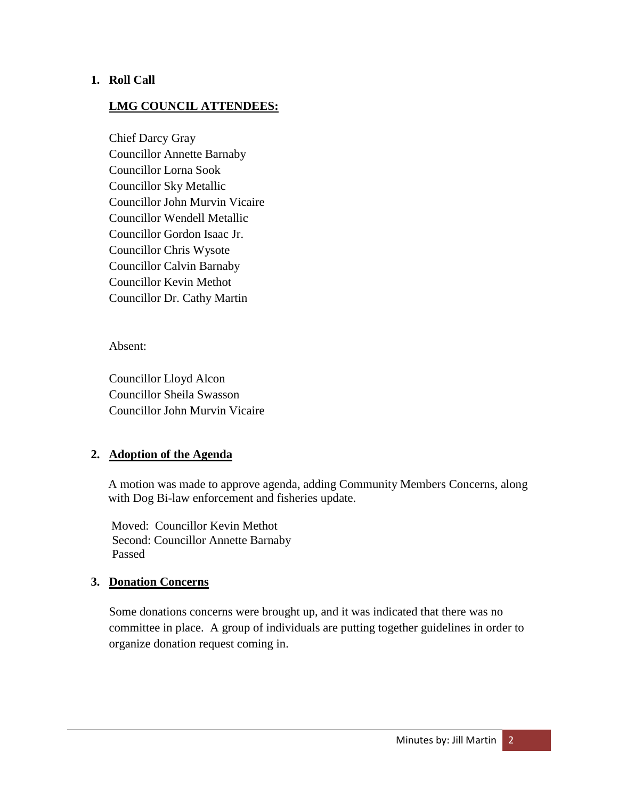#### **1. Roll Call**

#### **LMG COUNCIL ATTENDEES:**

Chief Darcy Gray Councillor Annette Barnaby Councillor Lorna Sook Councillor Sky Metallic Councillor John Murvin Vicaire Councillor Wendell Metallic Councillor Gordon Isaac Jr. Councillor Chris Wysote Councillor Calvin Barnaby Councillor Kevin Methot Councillor Dr. Cathy Martin

Absent:

Councillor Lloyd Alcon Councillor Sheila Swasson Councillor John Murvin Vicaire

#### **2. Adoption of the Agenda**

A motion was made to approve agenda, adding Community Members Concerns, along with Dog Bi-law enforcement and fisheries update.

Moved: Councillor Kevin Methot Second: Councillor Annette Barnaby Passed

#### **3. Donation Concerns**

Some donations concerns were brought up, and it was indicated that there was no committee in place. A group of individuals are putting together guidelines in order to organize donation request coming in.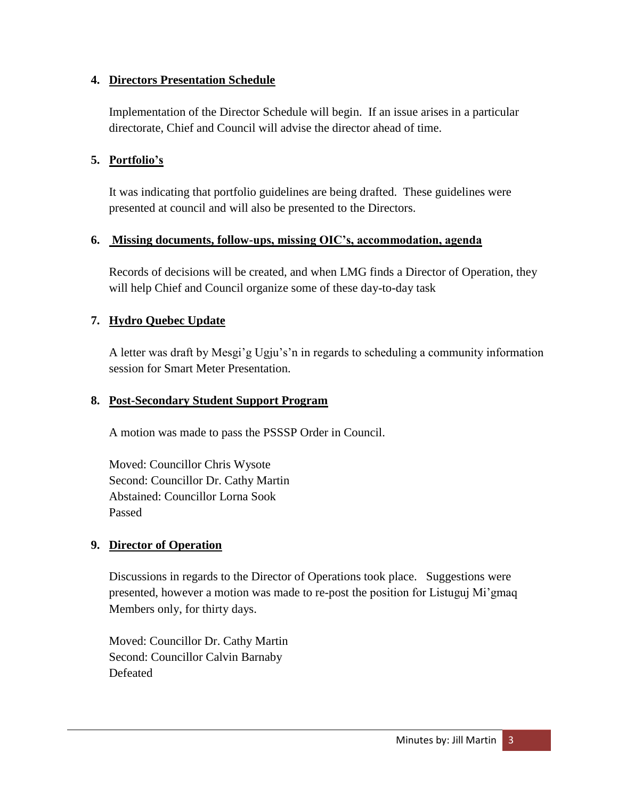## **4. Directors Presentation Schedule**

Implementation of the Director Schedule will begin. If an issue arises in a particular directorate, Chief and Council will advise the director ahead of time.

# **5. Portfolio's**

It was indicating that portfolio guidelines are being drafted. These guidelines were presented at council and will also be presented to the Directors.

#### **6. Missing documents, follow-ups, missing OIC's, accommodation, agenda**

Records of decisions will be created, and when LMG finds a Director of Operation, they will help Chief and Council organize some of these day-to-day task

# **7. Hydro Quebec Update**

A letter was draft by Mesgi'g Ugju's'n in regards to scheduling a community information session for Smart Meter Presentation.

## **8. Post-Secondary Student Support Program**

A motion was made to pass the PSSSP Order in Council.

Moved: Councillor Chris Wysote Second: Councillor Dr. Cathy Martin Abstained: Councillor Lorna Sook Passed

# **9. Director of Operation**

Discussions in regards to the Director of Operations took place. Suggestions were presented, however a motion was made to re-post the position for Listuguj Mi'gmaq Members only, for thirty days.

Moved: Councillor Dr. Cathy Martin Second: Councillor Calvin Barnaby Defeated